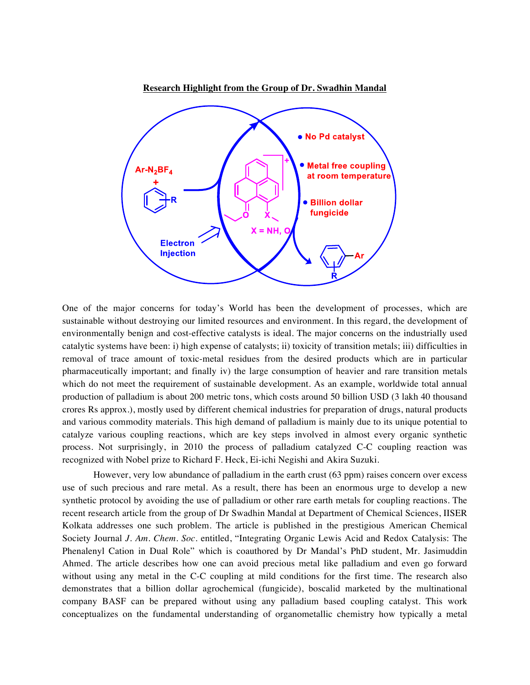

One of the major concerns for today's World has been the development of processes, which are sustainable without destroying our limited resources and environment. In this regard, the development of environmentally benign and cost-effective catalysts is ideal. The major concerns on the industrially used catalytic systems have been: i) high expense of catalysts; ii) toxicity of transition metals; iii) difficulties in removal of trace amount of toxic-metal residues from the desired products which are in particular pharmaceutically important; and finally iv) the large consumption of heavier and rare transition metals which do not meet the requirement of sustainable development. As an example, worldwide total annual production of palladium is about 200 metric tons, which costs around 50 billion USD (3 lakh 40 thousand crores Rs approx.), mostly used by different chemical industries for preparation of drugs, natural products and various commodity materials. This high demand of palladium is mainly due to its unique potential to catalyze various coupling reactions, which are key steps involved in almost every organic synthetic process. Not surprisingly, in 2010 the process of palladium catalyzed C-C coupling reaction was recognized with Nobel prize to Richard F. Heck, Ei-ichi Negishi and Akira Suzuki.

However, very low abundance of palladium in the earth crust (63 ppm) raises concern over excess use of such precious and rare metal. As a result, there has been an enormous urge to develop a new synthetic protocol by avoiding the use of palladium or other rare earth metals for coupling reactions. The recent research article from the group of Dr Swadhin Mandal at Department of Chemical Sciences, IISER Kolkata addresses one such problem. The article is published in the prestigious American Chemical Society Journal *J. Am. Chem. Soc.* entitled, "Integrating Organic Lewis Acid and Redox Catalysis: The Phenalenyl Cation in Dual Role" which is coauthored by Dr Mandal's PhD student, Mr. Jasimuddin Ahmed. The article describes how one can avoid precious metal like palladium and even go forward without using any metal in the C-C coupling at mild conditions for the first time. The research also demonstrates that a billion dollar agrochemical (fungicide), boscalid marketed by the multinational company BASF can be prepared without using any palladium based coupling catalyst. This work conceptualizes on the fundamental understanding of organometallic chemistry how typically a metal